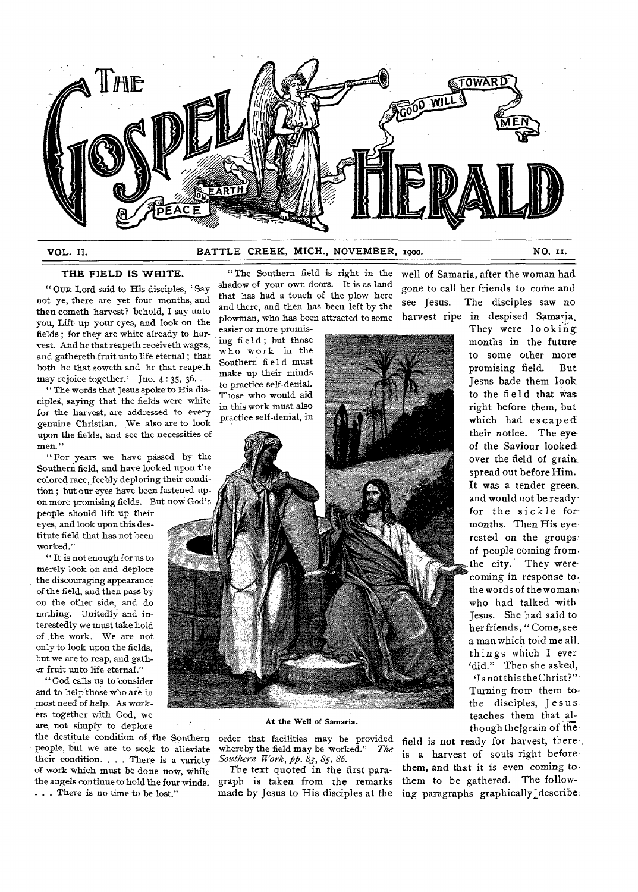

# **VOL. II.** BATTLE CREEK, MICH., NOVEMBER, 1900. NO, II.

# **THE FIELD IS WHITE.**

" OUR Lord said to His disciples, ' Say not ye, there are yet four months, and then cometh harvest? behold, I say unto you, Lift up your eyes, and look on the fields ; for they are white already to harvest. And he that reapeth receiveth wages, and gathereth fruit unto life eternal ; that both he that soweth and he that reapeth may rejoice together.' Jno. 4:35, 36.

" The words that Jesus spoke to His disciples, saying that the fields were white for the harvest, are addressed to every genuine Christian. We also are to lookupon the fields, and see the necessities of men."

"For years we have passed by the Southern field, and have looked upon the colored race, feebly deploring their condition ; but our eyes have been fastened upon more promising fields. But now God's

people should lift up their eyes, and look upon this destitute field that has not been worked."

" It is not enough for us to merely look on and deplore the discouraging appearance of the field, and then pass by on the other side, and do nothing. Unitedly and interestedly we must take hold of the work. We are not only to look upon the fields, but we are to reap, and gather fruit unto life eternal."

" God calls us to consider and to help those who are in most need of help. As workers together with God, we are, not simply to deplore

the destitute condition of the Southern people, but we are to seek to alleviate their condition. . . . There is a variety of work which must be done now, while the angels continue to hold the four winds. . . . There is no time to be lost."

" The Southern field is right in the shadow of your own doors. It is as land that has had a touch of the plow here and there, and then has been left by the plowman, who has been attracted to some

easier or more promising field; but those who work in the Southern field must make up their minds to practice self-denial. Those who would aid in this work must also practice self-denial, in

well of Samaria, after the woman had gone to call her friends to come and see Jesus. The disciples saw no harvest ripe in despised Samaria. They were looking

**At the Well of Samaria.**  order that facilities may be provided whereby the field may be worked." *Southern Work, pp. 83, 85, 86.* 

The text quoted in the first paragraph is taken from the remarks months in the future to some other more promising field. But Jesus bade them look to the field that was right before them, but which had escaped their notice. The eye of the Saviour looked over the field of grain. spread out before Him. It was a tender green. and would not be ready for the sickle for months. Then His eye rested on the groups of people coming from the city. They were coming in response to, the words of the woman, who had talked with Jesus. She had said to her friends, " Come, see a man which told me allthings which I ever 'did." Then she asked,. 'Is not this the Christ?" Turning from them to the disciples, Jesus teaches them that although theigrain of the

made by Jesus to His disciples at the ing paragraphs graphically describe: field is not ready for harvest, there is **a** harvest of souls right before them, and that it is even coming tothem to be gathered. The follow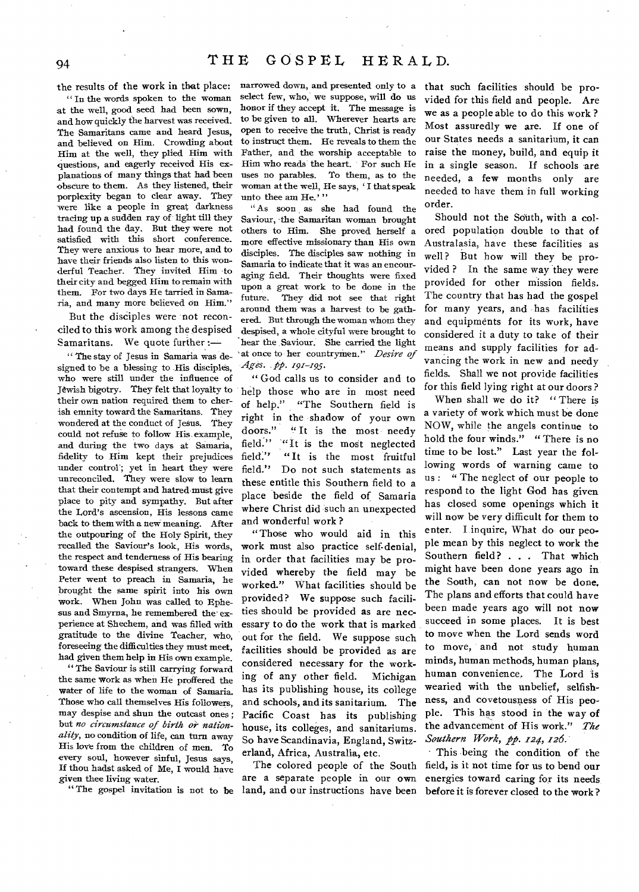the results of the work in that place:

" In the words spoken to the woman at the well, good seed had been sown, and how quickly the harvest was received. The Samaritans came and heard Jesus, and believed on Him. Crowding about Him at the well, they plied Him with questions, and eagerly received His explanations of many things that had been obscure to them. As they listened, their porplexity began to clear away. They were like a people in great darkness tracing up a sudden ray of light till they had found the day. But they were not satisfied with this short conference. They were anxious to hear more, and to have their friends also listen to this wonderful Teacher. They invited Him -to their city and begged Him to remain with them. For two days He tarried in Samaria, and many more believed on Him."

But the disciples were not reconciled to this work among the despised Samaritans. We quote further :—

" The stay of Jesus in Samaria was designed to be a blessing to His disciples, who were still under the influence of Jewish bigotry. They felt that loyalty to their own nation required them to cherish enmity toward the Samaritans. They wondered at the conduct of Jesus. They could not refuse to follow His example, and during the two days at Samaria, fidelity to Him kept their prejudices under control; yet in heart they were unreconciled. They were slow to learn that their contempt and hatred must give place to pity and sympathy. But after the Lord's ascension, His lessons came back to them with a new meaning. After the outpouring of the Holy Spirit, they recalled the Saviour's look, His words, the respect and tenderness of His bearing toward these despised strangers. When Peter went to preach in Samaria, he brought the same spirit into his Own work. When John was called to Ephesus and Smyrna, he remembered the experience at Shechem, and was filled with gratitude to the divine Teacher, who, foreseeing the difficulties they must meet, had given them help in His own example.

" The Saviour is still carrying forward the same work as when He proffered the water of life to the woman of Samaria. Those who call themselves His followers, may despise and shun the outcast ones ; but *no circumstance of birth or nationality,* no condition of life, can turn away His love from the children of men. To every soul, however sinful, Jesus says, If thou hadst asked of Me, I would have given thee living water.

narrowed down, and presented only to a select few, who, we suppose, will do us honor if they accept it. The message is to be given to all. Wherever hearts are open to receive the truth, Christ is ready to instruct them. He reveals to them the Father, and the worship acceptable to Him who reads the heart. For such He uses no parables. To them, as to the woman at the well, He says, ' I that speak unto thee am He.'"

" As soon as she had found the Saviour, the Samaritan woman brought others to Him. She proved herself a more effective missionary than His own disciples. The disciples saw nothing in Samaria to indicate that it was an encouraging field. Their thoughts were fixed upon a great work to be done in the future. They did not see that right around them was a harvest to be gathered. But through the woman whom they despised, a whole cityful were brought to hear the Saviour. She carried the light at once to her countrymen." *Desire of Ages. pp. 191-195.* 

" God calls us to consider and to help those who are in most need of help." "The Southern field is right in the shadow of your own<br>doors." "It is the most needv " It is the most needy field." "It is the most neglected field." "It is the most fruitful field." Do not such statements as these entitle this Southern field to a place beside the field of Samaria where Christ did such an unexpected and wonderful work ?

"Those who would aid in this work must also practice self-denial, in order that facilities may be provided whereby the field may be worked." What facilities should be provided? We suppose such facilities should be provided as are necessary to do the work that is marked out for the field. We suppose such facilities should be provided as are considered necessary for the working of any other field. Michigan has its publishing house, its college and schools, and its sanitarium. The Pacific Coast has its publishing house, its colleges, and sanitariums. So have Scandinavia, England, Switzerland, Africa, Australia, etc.

" The gospel invitation is not to be land, and our instructions have been are a separate people in our own

that such facilities should be provided for this field and people. Are we as a people able to do this work ? Most assuredly we are. If one of our States needs a sanitarium, it can raise the money, build, and equip it in a single season. If schools are needed, a few months only are needed to have them in full working order.

Should not the South, with a colored population double to that of Australasia, have these facilities as well? But how will they be provided ? In the same way they were provided for other mission fields. The country that has had the gospel for many years, and has facilities and equipments for its work, have considered it a duty to take of their means and supply facilities for advancing the work in new and needy fields. Shall we not provide facilities for this field lying right at our doors ?

When shall we do it? "There is *a* variety of work which must be done NOW, while the angels continue to hold the four winds." " There is no time to be lost." Last year the following words of warning came to us : " The neglect of our people to respond to the light God has given has closed some openings which it will now be very difficult for them to enter. I inquire, What do our people mean by this neglect to work the Southern field? . . . That which might have been done years ago in the South, can not now be done. The plans and efforts that could have been made years ago will not now succeed in some places. It is best to move when the Lord sends word to move, and not study human minds, human methods, human plans, human convenience. The Lord is wearied with the unbelief, selfishness, and covetousness of His people. This has stood in the way of the advancement of His work." *The Southern Work, pp. 121, 126.* 

The colored people of the South field, is it not time for us to bend our This being the condition of the energies toward caring for its needs before it is forever closed to the work?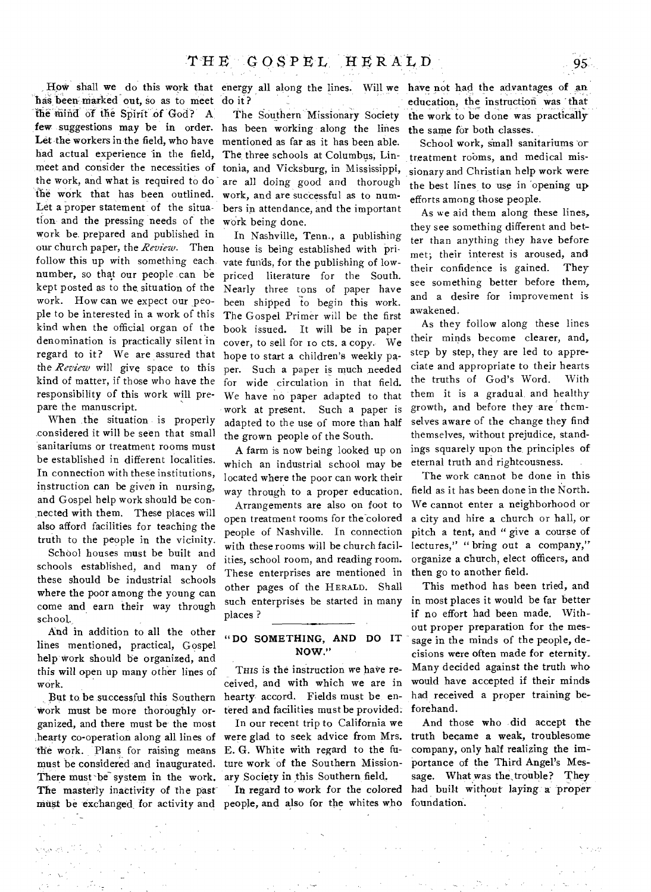How shall we do this work that energy all along the lines. Will we have not had the advantages of an has been- marked out, so as to meet do it? tie mind of the Spirit of God? A. few suggestions may be in order. has been working along the lines Let the workers in the field, who have mentioned as far as it has been able. had actual experience in the field, meet and consider the necessities of tonia, and Vicksburg, in Mississippi, the work, and what is required to do are all doing good and thorough the work that has been outlined. work, and are successful as to num-Let a proper statement of the situation and the pressing needs of the work being done. work be. prepared and published in our church paper, the *Review.* Then follow this up with something each number, so that our people can be kept posted as to the situation of the work. How can we expect our people to be interested in a work of this kind when the official organ of the denomination is practically silent in regard to it? We are assured that the *Review* will give space to this kind of matter, if those who have the responsibility of this work will prepare the manuscript.

When the situation is properly considered it will be seen that small sanitariums or treatment rooms must be established in different localities. In connection with these institutions, instruction can be *given* in nursing, and Gospel help work should be connected with them. These places will also afford facilities for teaching the truth to the people in the vicinity.

School houses must be built and schools established, and many of these should be industrial schools where the poor among the young can come and earn their way through school.

And in addition to all the other lines mentioned, practical, Gospel help work should be organized, and this will open up many other lines of work.

But to, be successful this Southern Work must be more thoroughly organized, and there must be the most hearty co-operation along all lines of the work. Plans for raising means must be considered and inaugurated. There must be system in the work. The masterly inactivity of the past must be exchanged, for activity and people, and also for the whites who

The Southern Missionary Society The three schools at Columbus, Linbers in attendance, and the important

In Nashville, Tenn., a publishing house is being established with private funds, for the publishing of lowpriced literature for the South. Nearly three tons of paper have been shipped to begin this work. The Gospel Primer will be the first book issued. It will be in paper cover, to sell for to cts. a copy. We hope to start a children's weekly paper. Such a paper is much needed for wide circulation in that field. We have no paper adapted to that work at present. Such a paper is adapted to the use of more than half the grown people of the South.

A farm is now being looked up on which an industrial school may be located where the poor can work their way through to a proper education.

Arrangements are also on foot to open treatment rooms for the colored people of Nashville. In connection with these rooms will be church facilities, school room, and reading room. These enterprises are mentioned in other pages of the HERALD. Shall such enterprises be started in many places ?

# **"DO SOMETHING, AND DO IT NOW."**

THIS is the instruction we have received, and with which we are in hearty accord. Fields must be entered and facilities must be provided:

In our recent trip to California we were glad to seek advice from Mrs. E. G. White with regard to the future work of the Southern Missionary Society in this Southern field.

In regard to work for the colored

education, the instruction was that the work to be done was practically **the** same for both classes.

School work, small sanitariums or treatment rooms, and medical missionary and Christian help work were the best lines to use in opening up efforts among those people.

As we aid them along these lines, they see something different and better than anything they have before met; their interest is aroused, and their confidence is gained. They see something better before them, and a desire for improvement is awakened.

As they follow along these lines their minds become clearer, and, step by step, they are led to appreciate and appropriate to their hearts the truths of God's Word. With them it is a gradual and healthy growth, and before they are themselves aware of the change they find themselves, without prejudice, standings squarely upon the, principles of eternal truth and righteousness.

The work cannot be done in this field as it has been done in the North. We cannot enter a neighborhood or a city and hire a church or hall, or pitch a tent, and " give a course of lectures," " bring out a company," organize a church, elect officers, and then go to another field.

This method has been tried, and in most places it would be far better if no effort had been made. Without proper preparation for the message in the minds of the people, decisions were often made for eternity. Many decided against the truth who would have accepted if their minds had received a proper training beforehand.

And those who did accept the truth became a weak, troublesome company, only half realizing the importance of the Third Angel's Message. What was the trouble? They had built without laying a proper foundation.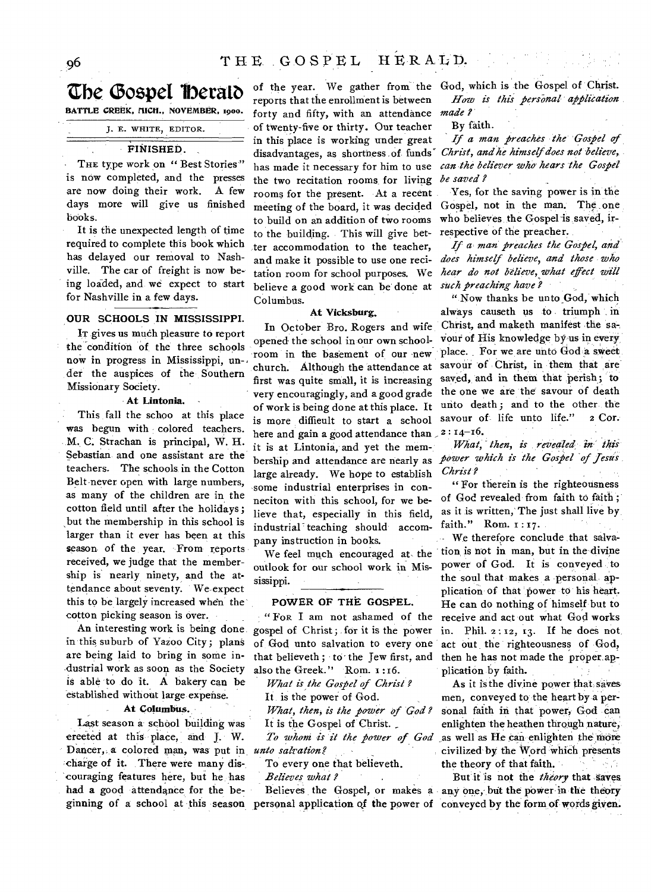# **Zrbe Gospel lberatO**

**BATTLE CREEK, MICH., NOVEMBER, 1900.** 

J. E. WHITE, EDITOR.

## **FINISHED.**

THE type work on " Best Stories" is now completed, and the presses are now doing their work. A few days more will give us finished books.

It is the unexpected length of time required to complete this book which has delayed our removal to Nashville. The car of freight is now being loaded, and we expect to start for Nashville in a few days.

# **OUR SCHOOLS IN MISSISSIPPI.**

IT gives us much pleasure to report the condition of the three schools now in progress in Mississippi, un-, der the auspices of the Southern Missionary Society.

# **At Lintonia.**

This fall the schoo at this place was begun with colored teachers. M.•C. Strachan is principal, W. H. Sebastian and one assistant are the teachers. The schools in the Cotton Belt never open with large numbers, as many of the children are in the cotton field until after the holidays; but the membership in this school is larger than it ever has been at this season- of the year. From reports received, we judge that the membership is nearly ninety, and the attendance about seventy. We-expect this to be largely increased when the cotton picking season is over.

An interesting work is being done in this suburb of Yazoo City; plans are being laid to bring in some industrial work as soon as the Society is able to do it. A bakery can be established without large expense.

# **At columbus.**

Last season a school building was ereeted at this place, and J. W. Dancer,, a colored man, was put in *unto salvation?*  ,charge of it. There were many discouraging features here, but he has had a good attendance for the be-

of the year. We gather from the God, which is the Gospel of Christ. reports that the enrollment is between forty and fifty, with an attendance of twenty-five or thirty. Our teacher in this place is working under great disadvantages, as shortness of funds' has made it necessary for him to use the two recitation rooms, for living rooms for the present. At a recent meeting of the board, it was decided to build on an addition of two rooms to the building. This will give better accommodation to the teacher, and make it possible to use one recitation room for school purposes. We believe a good work can be done at Columbus.

# **At Vicksburg.**

In October Bro. Rogers and wife opened the school in our own schoolroom in the basement of our new church. Although the attendance at first was quite small, it is increasing very encouragingly, and a good grade of work is being done at this place. It is more diffieult to start a school here and gain a good attendance than  $2:14-16$ . it is at Lintonia, and yet the memlarge already. We hope to establish some industrial enterprises in conneciton with this school, for we believe that, especially in this field, industrial" teaching should accompany instruction in books.

We feel much encouraged at, the outlook for our school work in Mississippi.

# **POWER OF THE GOSPEL.**

**" FoR I** am not ashamed of the gospel of Christ; for it is the power of God unto salvation to every one that believeth ; to the Jew first, and also the Greek." Rom. 1:16.

*What is the Gospel of Christ ?* 

It is the power of God.

*What, then, is the power of God ?*  It is the Gospel of Christ.

*To whom -is it the power of God* 

To every one that believeth.

*Believes what ?* 

*How is this:personal application made ?* 

## By faith.

*If a man preaches the Gospel of Christ, and he himself does not believe, can the believer who hears the Gospel be saved ?* 

Yes, for the saving power is in the Gospel, not in the man. The one who believes the Gospel is saved, irrespective of the preacher.

*If a man preaches the Gospel, and does himself believe, and those who hear do not believe, what effect will such preaching have ?* 

" Now thanks be unto God, which always causeth us to triumph in Christ, and maketh manifest the savour of His knowledge by us in every place. For we are unto God a sweet savour of Christ, in them that are saved, and in them that perish; to the one we are the savour of death unto death; and to the other the savour of life unto life." 2 Cor.

bership and attendance are nearly as *power which is the Gospel of jestis What, then, is revealed in this: Christ ?* 

> " For therein is the righteousness of God revealed from faith to faith ; as it is written, The just shall live by faith." Rom. 1:17.

We therefore conclude that salvation is not in man, but in the divine power of God. It is conveyed to the soul that makes a personal, application of that power to his heart. He can do nothing of himself but to receive and act out what God works in. Phil.  $2:12, 13$ . If he does not act out the righteousness of God, then he has not made the proper application by faith.

As it is the divine power that, saves men, conveyed to the heart by a personal faith in that power, God can enlighten the heathen through nature, as well as He can enlighten the more civilized by the Word Which presents the theory of that faith.

ginning of a school at this season personal application of the power of conveyed by the form of words given. Believes the Gospel, or makes a any one, but the power in the theory But it is not the *theory* **that** saves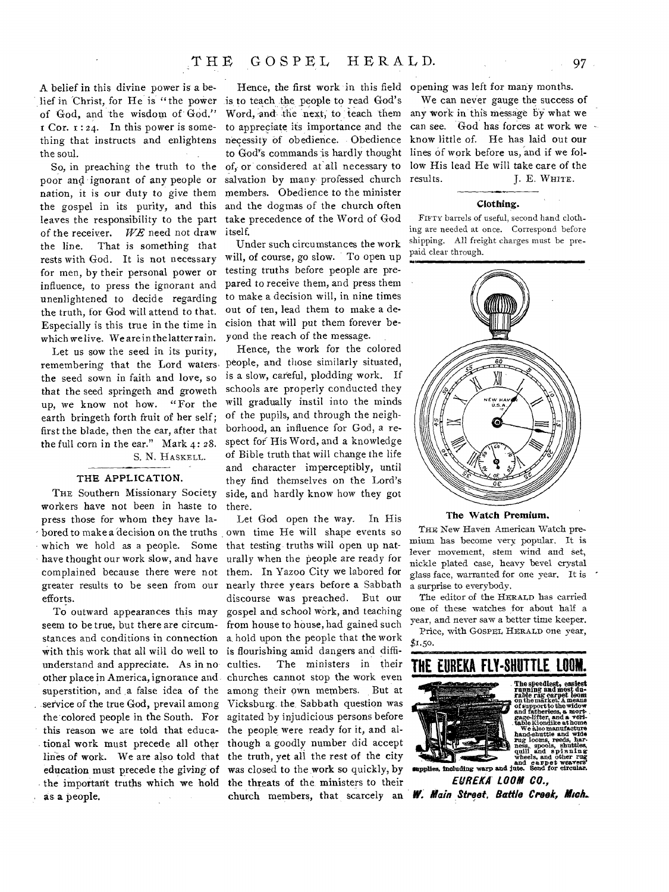So, in preaching the truth to the poor and ignorant of any people or nation, it is our duty to give them the gospel in its purity, and this leaves the responsibility to the part of the receiver. *WE* need not draw the line. That is something that rests with God. It is not necessary for men, by their personal power or influence, to press the ignorant and unenlightened to decide regarding the truth, for God will attend to that. Especially is this true in the time in which we live. We are in the latter rain.

Let us sow the seed in its purity, the seed sown in faith and love, so that the seed springeth and groweth up, we know not how. "For the earth bringeth forth fruit of her self; first the blade, then the ear, after that the full corn in the ear." Mark 4: 28. S. N. HASKELL.

# THE APPLICATION.

THE Southern Missionary Society workers have not been in haste to press those for whom they have labored to make a decision on the truths which we hold as a people. Some have thought our work slow, and have complained because there were not greater results to be seen from our nearly three years before a Sabbath efforts.

seem to be true, but there are circumstances and conditions in connection a. hold upon the people that the work with this work that all will do well to is flourishing amid dangers and diffiunderstand and appreciate. As in no culties. other place in America, ignorance and churches cannot stop the work even superstition, and a false idea of the among their own members. But at service of the true God, prevail among Vicksburg. the Sabbath question was the colored people in the South. For agitated by injudicious persons before this reason we are told that educa-the people were ready for it, and altional work must precede all other though a goodly number did accept lines of work. We are also told that the truth, yet all the rest of the city education must precede the giving of was closed to the work so quickly, by the important truths which we hold the threats of the ministers to their as a people.

Hence, the first work in this field opening was left for many months. is to teach the people to read God's Word, and the next, to teach them to appreciate its importance and the necessity of obedience. Obedience to God's commands is hardly thought of, or considered at-all necessary to salvation by many professed church members. Obedience to the minister and the dogmas of the church often take precedence of the Word of God itself.

Under such circumstances the work will, of course, go slow. To open up testing truths before people are prepared to receive them, and press them to make a decision will, in nine times out of ten, lead them to make a decision that will put them forever beyond the reach of the message.

remembering that the Lord waters. People, and those similarly situated, Hence, the work for the colored is a slow, careful, plodding work. If schools are properly conducted they will gradually instil into the minds of the pupils, and through the neighborhood, an influence for God, a respect for His Word, and a knowledge of Bible truth that will change the life and character imperceptibly, until they find themselves on the Lord's side, and hardly know how they got there.

To outward appearances this may gospel and school work, and teaching Let God open the way. In His own time He will shape events so that testing truths will open up naturally when the people are ready for them. In Yazoo City we labored for discourse was preached. But our from house to house, had gained such The ministers in their church members, that scarcely an

We can never gauge the success of any work in this message by what we can see. God has forces at work we know little of. He has laid out our lines of work before us, and if we follow His lead He will take care of the results. J. E. WHITE.

#### Ciothing.

FIFTY barrels of useful, second hand clothing are needed at once. Correspond before shipping. All freight charges must be prepaid clear through.



## The Watch Premium,

THE New Haven American Watch premium has become very popular. It is lever movement, stem wind and set, nickle plated case, heavy bevel crystal glass face, warranted for one year. It is a surprise to everybody.

The editor of the HERALD has carried one of these watches for about half a year, and never saw a better time keeper. Price, with GOSPEL HERALD one year,

 $$1.50.$ 



*EUREKA' LOOM CO., W. Main Street, Baffle Creek, Mick*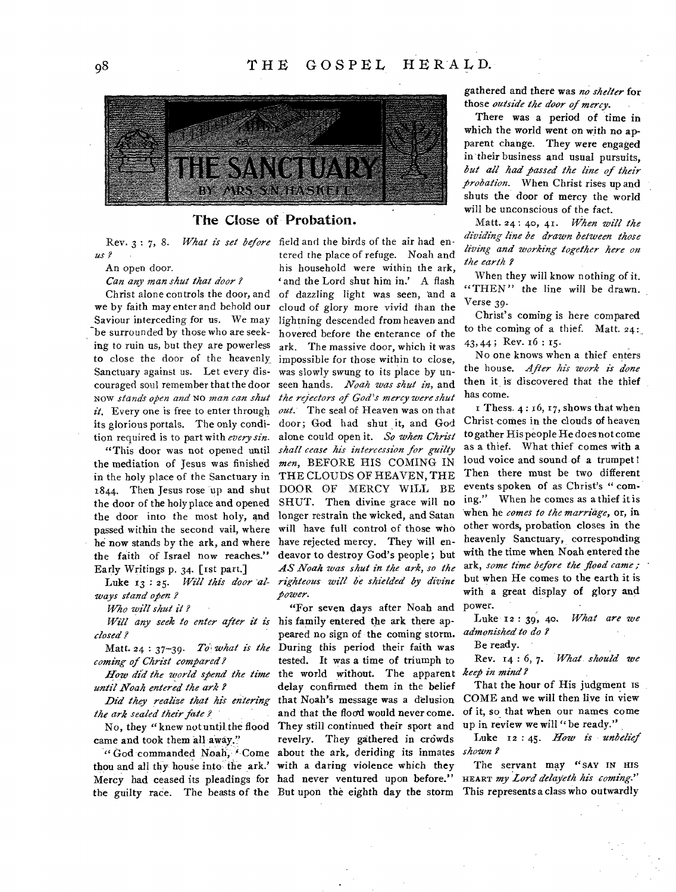

# The Close of Probation.

*us ?* 

An open door.

*Can any man shut that door ?* 

Christ alone controls the door, and we by faith may enter and behold our Saviour interceding for us. We may be surrounded by those who are seeking to ruin us, but they are powerless to close the door of the heavenly Sanctuary against us. Let every discouraged soul remember that the door NOW *stands open and* NO *man can shut it.* Every one is free to enter through its glorious portals. The only condition required is to part with *every sin.* 

"This door was not opened until the mediation of Jesus was finished in the holy place of the Sanctuary in 1844. Then Jesus rose up and shut the door of the holy place and opened the door into the most holy, and passed within the second vail, where he now stands by the ark, and where the faith of Israel now reaches." Early Writings p. 34. [rst part.]

Luke 13:25. Will this door al*ways stand open ?* 

*Who will shut it ?* 

*closed ?* 

Matt. 24 : 37-39. *To what is the coming of Christ compared?* 

*How did the world spend the time until Noah entered the ark ?* 

*Did they realize that his entering the ark sealed their fate .?* 

No, they "knew not until the flood came and took them all away."

the guilty race. The beasts of the But upon the eighth day the storm This represents a class who outwardly

Rev. 3 : 7, 8. *What is set before*  field and the birds of the air had entered the place of refuge. Noah and his household were within the ark, ' and the Lord shut him in.' A flash of dazzling light was seen, and a cloud of glory more vivid than the lightning descended from heaven and hovered before the enterance of the ark. The massive door, which it was impossible for those within to close, was slowly swung to its place by unseen hands. *Noah was shut in,* and *the rejectors of God's mercy were shut out.* The seal of Heaven was on that door; God had shut it, and God alone could open it. *So when Christ shall cease his intercession for guilty men,* BEFORE HIS COMING IN THE CLOUDS OF HEAVEN, THE DOOR OF MERCY WILL BE SHUT. Then divine grace will no longer restrain the wicked, and Satan will have full control of those who have rejected mercy. They will endeavor to destroy God's people; but *AS Noah was shut in the ark, so the righteous will be shielded by divine power.* 

*Will any seek to enter after it is*  his family entered the ark there ap-"God commanded Noah, "Come about the ark, deriding its inmates shown? thou and all thy house into the ark.' with a daring violence which they Mercy had ceased its pleadings for had never ventured upon before." "For seven days after Noah and peared no sign of the coming storm. During this period their faith was tested. It was a time of triumph to the world without. The apparent *keep in mind ?*  delay confirmed them in the belief that Noah's message was a delusion and that the flood would never come. They still continued their sport and revelry. They gathered in crowds

gathered and there was *no shelter* for those *outside the door of mercy.* 

There was a period of time in which the world went on with no apparent change. They were engaged in their business and usual pursuits, *but all had passed the line of their probation.* When Christ rises up and shuts the door of mercy the world will be unconscious of the fact.

Matt. 24: 40, 41. *When will the dividing line be drawn between those living and working together here on the earth ?* 

When they will know nothing of it. "THEN" the line will be drawn. Verse 39•

Christ's coming is here compared to the coming of a thief. Matt.  $24$ : 43, 44 ; Rev. 16 : 15.

No one knows when a thief enters the house. *After his work is done*  then it is discovered that the thief has come.

I Thess.  $4:16, 17$ , shows that when Christ-comes in the clouds of heaven to gather His people He does not come as a thief. What thief comes with a loud voice and sound of a trumpet! Then there must be two different events spoken of as Christ's "coming." When he comes as a thief it is 'when he *comes to the marriage,* or, in other words, probation closes in the heavenly Sanctuary, corresponding with the time when Noah entered the ark, *some time before the flood came ;*  but when He comes to the earth it is with a great display of glory and power.

Luke 12 : 39, 40. *What are we admonished to do ?* 

Be ready.

Rev. 14 : 6, *7. What should we* 

That the hour of His judgment is COME and we will then live in view of it, so that when our names come up in review we will "be ready."

Luke 12:45. How is unbelief

The servant may "SAY IN HIS HEART *my Lord delayeth his coming."*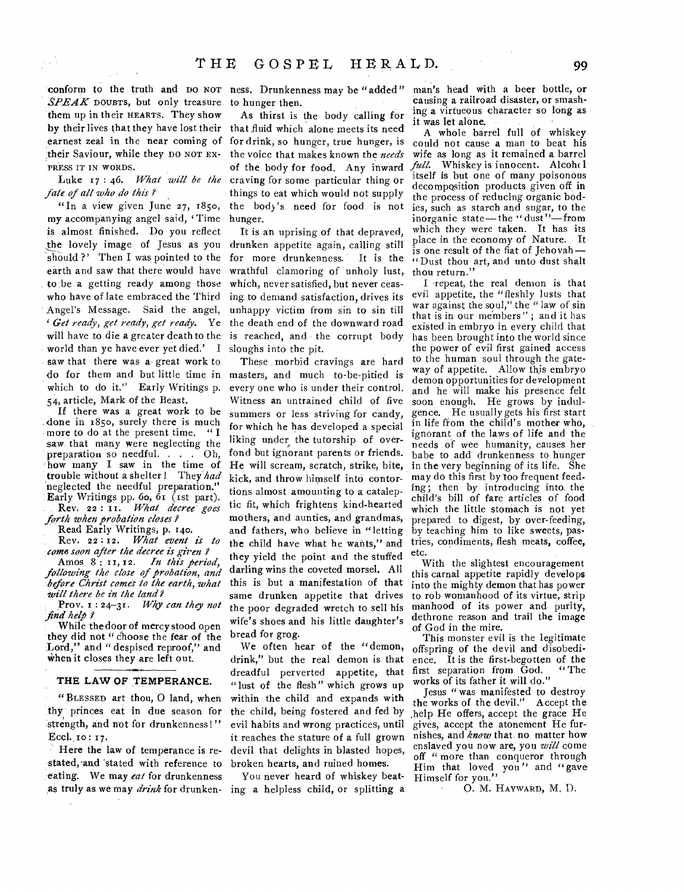conform to the truth and DO NOT ness. Drunkenness may be "added" SPEAK DOUBTS, but only treasure to hunger then. them up in their HEARTS. They show earnest zeal in the near coming of their Saviour, while they DO NOT EX-PRESS IT IN WORDS.

Luke 17 : 46. *What will be the fate of all who do this ?* 

"In a view given June 27, 1850, my accompanying angel said, Time is almost finished. Do you reflect the lovely image of Jesus as you should ?' Then I was pointed to the earth and saw that there would have to be a getting ready among those who have of late embraced the Third Angel's Message. Said the angel, *' Get ready, get ready, get ready.* Ye will have to die a greater death to the world than ye have ever yet died.' I saw that there was a great work to do for them and but little time in which to do it." Early Writings p. *54,* article, Mark of the Beast.

If there was a great work to be done in 1850, surely there is much more to do at the present time. " I saw, that many were neglecting the preparation so needful. . . . Oh, how many I saw in the time of trouble without a shelter ! They had neglected the needful preparation." Early Writings pp. 60, 61 (1st part). Rev. 22 : II. *What decree goes* 

*forth when probation closes?* 

Read Early Writings, p. 140. Rev. 22 : 12. *What event is to* 

*come soon after the decree is given ?*  Amos 8: 11, 12. *In this period*,

*following the close of probation, and before Christ comes to the earth, what will there be in the land?* 

Prov. I : 24-3r. *Why can they not find help ?* 

While the door of mercy stood open they did not "Choose the fear of the Lord," and " despised reproof," and when it closes they are left out.

# **THE LAW OF TEMPERANCE.**

" BLESSED art thou, 0 land, when thy. princes eat in due season for strength, and not for drunkenness!" Eccl. 10: 17.

Here the law of temperance is restated, and 'stated with reference to eating. We may *eat* for drunkenness

by their lives that they have lost their that fluid which alone meets its need As thirst is the body calling for for drink, so hunger, true hunger, is the voice that makes known the *needs*  of the body for food. Any inward craving for some particular thing or things to eat which would not supply the body's need for food is not hunger.

> It is an uprising of that depraved, drunken appetite again, calling still for more drunkenness. It is the wrathful clamoring of unholy lust, which, never satisfied, but never ceasing to demand satisfaction, drives its unhappy victim from sin to sin till the death end of the downward road is reached, and the corrupt body sloughs into the pit.

> These morbid cravings are hard masters, and much to-be-pitied is every one who is under their control. Witness an untrained child of five summers or less striving for candy, for which he has developed a special liking under the tutorship of overfond but ignorant parents or friends. He will scream, scratch, strike, bite, kick, and throw himself into contortions almost amounting to a cataleptic fit, which frightens kind-hearted mothers, and aunties, and grandmas, and fathers, who believe in "letting the child have what he wants," and they yield the point and the stuffed darling wins the coveted morsel. All this is but a manifestation of that same drunken appetite that drives the poor degraded wretch to sell his wife's shoes and his little daughter's bread for grog.

> We often hear of the "demon, drink," but the real demon is that dreadful perverted appetite, that "lust of the flesh" which grows up within the child and expands with the child, being fostered and fed by evil habits and wrong practices, until it reaches the stature of a full grown devil that delights in blasted hopes, broken hearts, and ruined homes.

as truly as we may *drink* for drunken-ing a helpless child, or splitting a You never heard of whiskey beat-

man's head with a beer bottle, or causing a railroad disaster, or smashing a virtueous character so long as it was let alone.

A whole barrel full of whiskey could not cause a man to beat his wife as long as it remained a barrel *full.* Whiskey is innocent. Alcoh(1) itself is but one of many poisonous decomposition products given off in the process of reducing organic bodies, such as starch and sugar, to the inorganic state—the "dust"—from which they were taken. It has its place in the economy of Nature. It is one result of the fiat of Jehovah— "Dust thou art, and unto dust shalt thou return."

I repeat, the real demon is that evil appetite, the "fleshly lusts that war against the soul," the " law of sin that is in our members" ; and it has existed in embryo in every child that has been brought into the world since the power of evil first gained access to the human soul through the gateway of appetite. Allow this embryo demon opportunities for development and he will make his presence felt soon enough. He grows by indulgence. He usually gets his first start in life from the child's mother who, ignorant of the laws of life and the needs of wee humanity, causes her babe to add drunkenness to hunger in the very beginning of its life. She may do this first by too frequent feeding; then by introducing into the child's bill of fare articles of food which the little stomach is not yet prepared to digest, by over-feeding, by teaching him to like sweets, pastries, condiments, flesh meats, coffee, etc.

With the slightest encouragement this carnal appetite rapidly develops into the mighty demon that has power to rob womanhood of its virtue, strip manhood of its power and purity, dethrone reason and trail the image of God in the mire.

This monster evil is the legitimate offspring of the devil and disobedience. It is the first-begotten of the<br>first separation from God. "The first separation from God. works of its father it will do."

Jesus "was manifested to destroy the works of the devil." Accept the ,help He offers, accept the grace He gives, accept the atonement He furnishes, and *know* that no matter how enslaved you now are, you *will* come off " more than conqueror through Him that loved you" and "gave Himself for you."

0. M. HAYWARD, M, D.